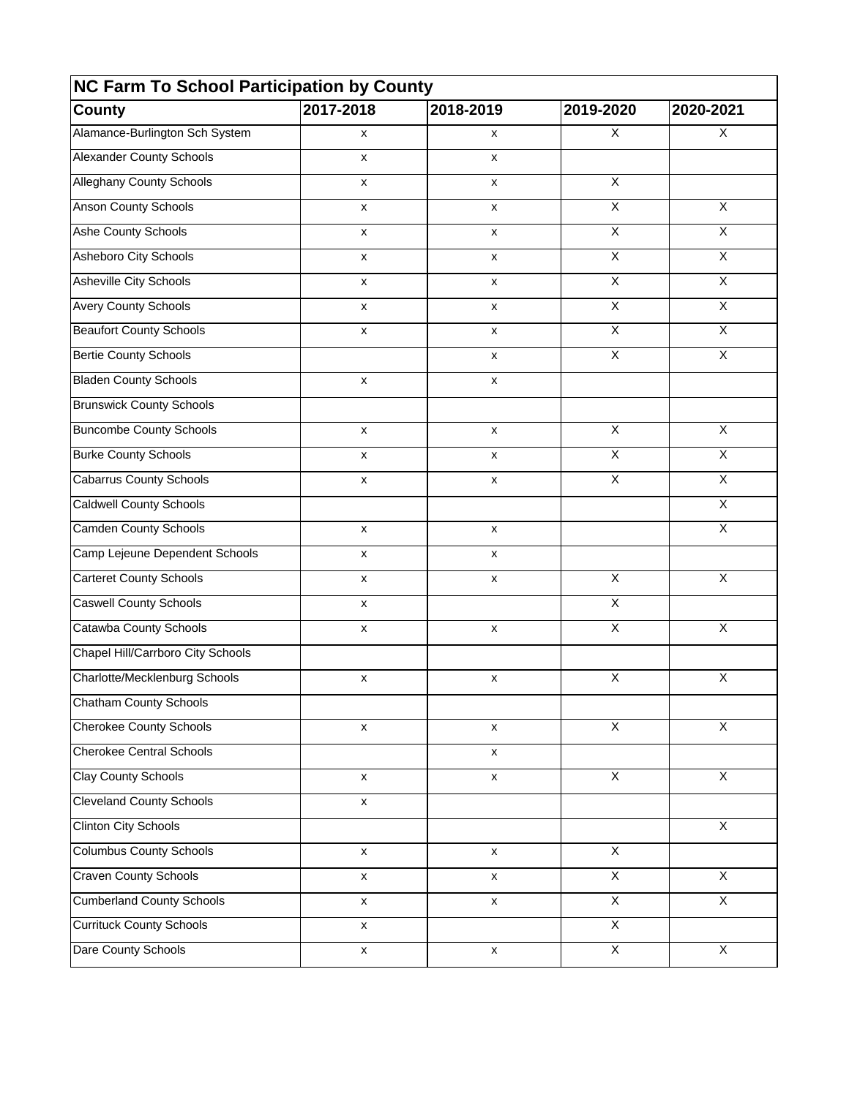| NC Farm To School Participation by County |                    |                    |                         |                         |  |
|-------------------------------------------|--------------------|--------------------|-------------------------|-------------------------|--|
| <b>County</b>                             | 2017-2018          | 2018-2019          | 2019-2020               | 2020-2021               |  |
| Alamance-Burlington Sch System            | X                  | x                  | X                       | X                       |  |
| <b>Alexander County Schools</b>           | $\pmb{\mathsf{x}}$ | $\pmb{\mathsf{x}}$ |                         |                         |  |
| <b>Alleghany County Schools</b>           | $\pmb{\mathsf{x}}$ | $\pmb{\mathsf{x}}$ | $\overline{X}$          |                         |  |
| <b>Anson County Schools</b>               | X                  | X                  | $\overline{\mathsf{x}}$ | $\overline{X}$          |  |
| Ashe County Schools                       | X                  | X                  | $\pmb{\times}$          | X                       |  |
| Asheboro City Schools                     | X                  | X                  | $\pmb{\times}$          | X                       |  |
| <b>Asheville City Schools</b>             | X                  | X                  | $\overline{\mathsf{x}}$ | $\overline{X}$          |  |
| <b>Avery County Schools</b>               | $\pmb{\mathsf{x}}$ | X                  | $\pmb{\times}$          | X                       |  |
| <b>Beaufort County Schools</b>            | $\pmb{\mathsf{x}}$ | $\pmb{\mathsf{x}}$ | $\pmb{\times}$          | X                       |  |
| <b>Bertie County Schools</b>              |                    | X                  | $\pmb{\times}$          | X                       |  |
| <b>Bladen County Schools</b>              | X                  | X                  |                         |                         |  |
| <b>Brunswick County Schools</b>           |                    |                    |                         |                         |  |
| <b>Buncombe County Schools</b>            | $\pmb{\mathsf{x}}$ | $\pmb{\mathsf{x}}$ | $\pmb{\times}$          | X                       |  |
| <b>Burke County Schools</b>               | $\pmb{\times}$     | X                  | $\overline{\mathsf{x}}$ | $\overline{X}$          |  |
| <b>Cabarrus County Schools</b>            | X                  | X                  | $\mathsf X$             | X                       |  |
| <b>Caldwell County Schools</b>            |                    |                    |                         | $\overline{X}$          |  |
| <b>Camden County Schools</b>              | $\pmb{\mathsf{x}}$ | $\pmb{\mathsf{x}}$ |                         | X                       |  |
| Camp Lejeune Dependent Schools            | X                  | X                  |                         |                         |  |
| <b>Carteret County Schools</b>            | X                  | x                  | $\mathsf X$             | X                       |  |
| <b>Caswell County Schools</b>             | x                  |                    | $\overline{\mathsf{x}}$ |                         |  |
| Catawba County Schools                    | x                  | x                  | $\overline{X}$          | X                       |  |
| Chapel Hill/Carrboro City Schools         |                    |                    |                         |                         |  |
| Charlotte/Mecklenburg Schools             | X                  | X                  | $\overline{\mathsf{x}}$ | X                       |  |
| Chatham County Schools                    |                    |                    |                         |                         |  |
| <b>Cherokee County Schools</b>            | x                  | x                  | X                       | $\overline{X}$          |  |
| <b>Cherokee Central Schools</b>           |                    | X                  |                         |                         |  |
| <b>Clay County Schools</b>                | $\pmb{\mathsf{x}}$ | $\pmb{\mathsf{x}}$ | $\overline{\mathsf{x}}$ | $\overline{\mathsf{x}}$ |  |
| <b>Cleveland County Schools</b>           | $\pmb{\mathsf{x}}$ |                    |                         |                         |  |
| <b>Clinton City Schools</b>               |                    |                    |                         | $\overline{\mathsf{x}}$ |  |
| <b>Columbus County Schools</b>            | $\pmb{\mathsf{x}}$ | $\pmb{\mathsf{x}}$ | $\overline{\mathsf{x}}$ |                         |  |
| <b>Craven County Schools</b>              | X                  | $\pmb{\mathsf{x}}$ | $\overline{X}$          | $\overline{X}$          |  |
| <b>Cumberland County Schools</b>          | X                  | X                  | $\overline{X}$          | $\overline{X}$          |  |
| <b>Currituck County Schools</b>           | X                  |                    | X                       |                         |  |
| Dare County Schools                       | $\mathsf{x}$       | $\pmb{\mathsf{x}}$ | $\overline{X}$          | X                       |  |
|                                           |                    |                    |                         |                         |  |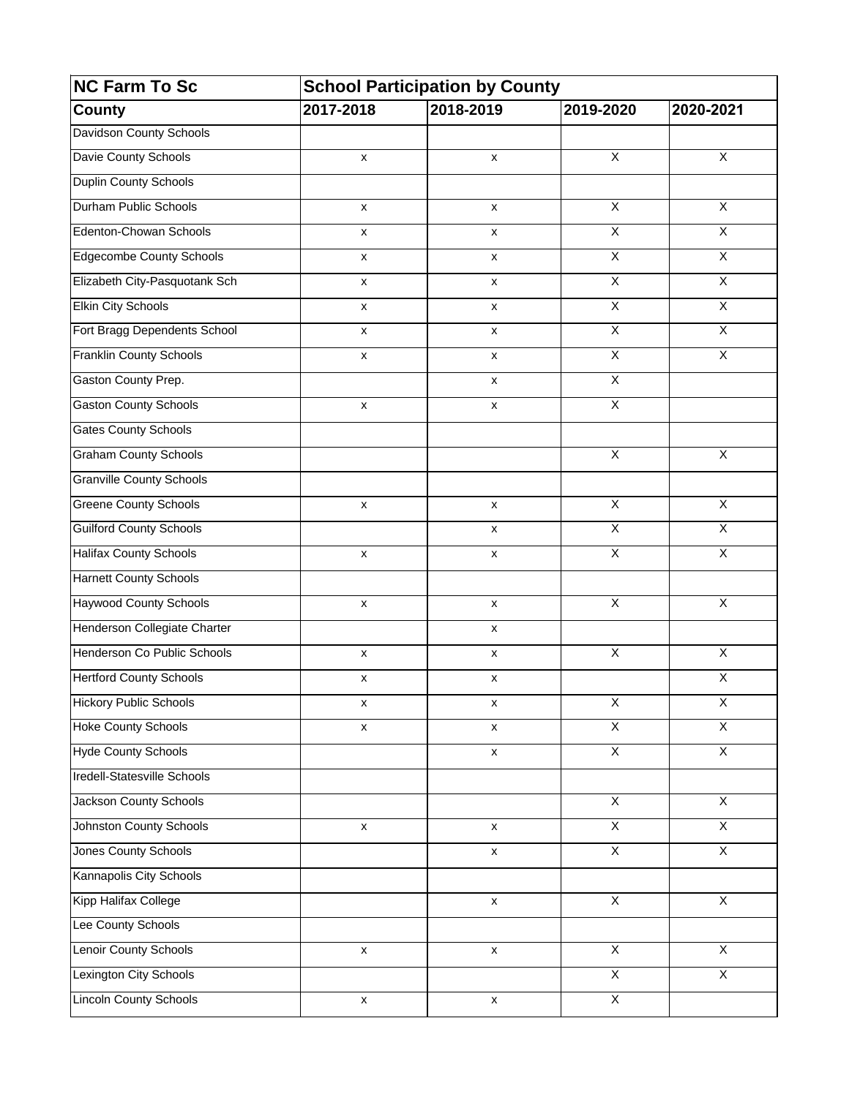| <b>NC Farm To Sc</b><br><b>County</b> | <b>School Participation by County</b> |                    |                         |                         |  |
|---------------------------------------|---------------------------------------|--------------------|-------------------------|-------------------------|--|
|                                       | 2017-2018                             | 2018-2019          | 2019-2020               | 2020-2021               |  |
| <b>Davidson County Schools</b>        |                                       |                    |                         |                         |  |
| Davie County Schools                  | X                                     | X                  | $\overline{X}$          | $\overline{X}$          |  |
| Duplin County Schools                 |                                       |                    |                         |                         |  |
| Durham Public Schools                 | X                                     | X                  | $\overline{\mathsf{x}}$ | X                       |  |
| Edenton-Chowan Schools                | x                                     | x                  | $\overline{\mathsf{x}}$ | $\overline{X}$          |  |
| <b>Edgecombe County Schools</b>       | x                                     | x                  | $\overline{X}$          | $\overline{X}$          |  |
| Elizabeth City-Pasquotank Sch         | X                                     | x                  | $\overline{X}$          | $\overline{\mathsf{x}}$ |  |
| <b>Elkin City Schools</b>             | X                                     | X                  | $\overline{X}$          | $\overline{X}$          |  |
| Fort Bragg Dependents School          | x                                     | $\pmb{\mathsf{x}}$ | $\overline{\mathsf{X}}$ | $\overline{X}$          |  |
| <b>Franklin County Schools</b>        | $\pmb{\mathsf{x}}$                    | $\pmb{\mathsf{x}}$ | $\overline{X}$          | $\overline{X}$          |  |
| Gaston County Prep.                   |                                       | x                  | $\overline{X}$          |                         |  |
| <b>Gaston County Schools</b>          | x                                     | x                  | $\overline{X}$          |                         |  |
| <b>Gates County Schools</b>           |                                       |                    |                         |                         |  |
| <b>Graham County Schools</b>          |                                       |                    | $\overline{\mathsf{x}}$ | X                       |  |
| <b>Granville County Schools</b>       |                                       |                    |                         |                         |  |
| <b>Greene County Schools</b>          | $\pmb{\mathsf{x}}$                    | $\pmb{\mathsf{x}}$ | $\overline{X}$          | $\overline{X}$          |  |
| <b>Guilford County Schools</b>        |                                       | X                  | $\overline{X}$          | $\overline{\mathsf{x}}$ |  |
| <b>Halifax County Schools</b>         | X                                     | X                  | $\overline{X}$          | $\overline{X}$          |  |
| <b>Harnett County Schools</b>         |                                       |                    |                         |                         |  |
| <b>Haywood County Schools</b>         | $\pmb{\mathsf{x}}$                    | $\pmb{\mathsf{x}}$ | $\overline{\mathsf{X}}$ | $\overline{\mathsf{X}}$ |  |
| Henderson Collegiate Charter          |                                       | X                  |                         |                         |  |
| Henderson Co Public Schools           | X                                     | $\pmb{\mathsf{x}}$ | $\overline{X}$          | $\overline{X}$          |  |
| <b>Hertford County Schools</b>        | $\pmb{\mathsf{x}}$                    | $\pmb{\mathsf{x}}$ |                         | $\overline{\mathsf{X}}$ |  |
| <b>Hickory Public Schools</b>         | X                                     | $\pmb{\mathsf{x}}$ | X                       | X                       |  |
| <b>Hoke County Schools</b>            | x                                     | X                  | X                       | X                       |  |
| <b>Hyde County Schools</b>            |                                       | $\pmb{\mathsf{x}}$ | $\overline{X}$          | $\overline{X}$          |  |
| <b>Iredell-Statesville Schools</b>    |                                       |                    |                         |                         |  |
| <b>Jackson County Schools</b>         |                                       |                    | $\overline{X}$          | $\overline{X}$          |  |
| <b>Johnston County Schools</b>        | X                                     | $\pmb{\mathsf{x}}$ | $\overline{X}$          | $\overline{X}$          |  |
| <b>Jones County Schools</b>           |                                       | $\pmb{\mathsf{x}}$ | $\overline{X}$          | χ                       |  |
| Kannapolis City Schools               |                                       |                    |                         |                         |  |
| Kipp Halifax College                  |                                       | $\pmb{\mathsf{x}}$ | $\overline{X}$          | $\overline{X}$          |  |
| Lee County Schools                    |                                       |                    |                         |                         |  |
| <b>Lenoir County Schools</b>          | $\pmb{\mathsf{x}}$                    | $\pmb{\mathsf{x}}$ | $\overline{X}$          | $\overline{X}$          |  |
| Lexington City Schools                |                                       |                    | $\overline{X}$          | $\overline{X}$          |  |
| <b>Lincoln County Schools</b>         | $\pmb{\mathsf{x}}$                    | $\pmb{\mathsf{x}}$ | $\overline{X}$          |                         |  |
|                                       |                                       |                    |                         |                         |  |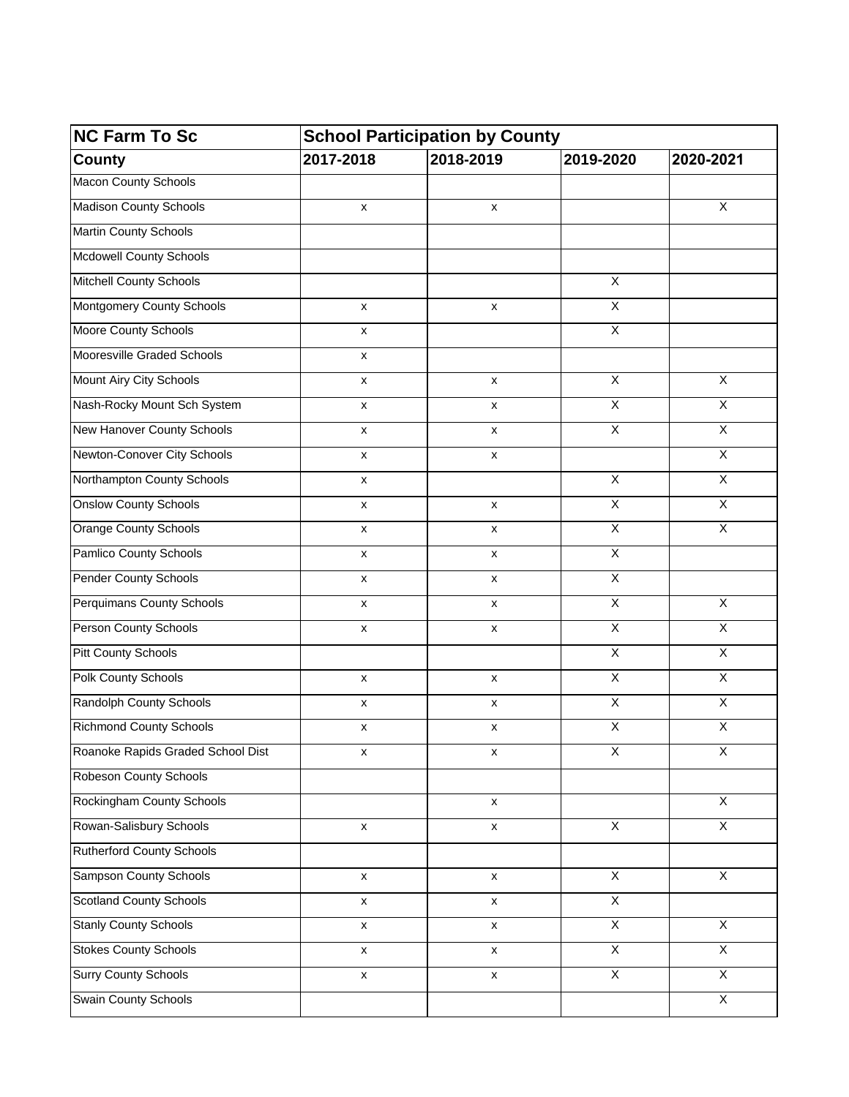| <b>NC Farm To Sc</b>              | <b>School Participation by County</b> |                    |                         |                         |  |
|-----------------------------------|---------------------------------------|--------------------|-------------------------|-------------------------|--|
| <b>County</b>                     | 2017-2018                             | 2018-2019          | 2019-2020               | 2020-2021               |  |
| <b>Macon County Schools</b>       |                                       |                    |                         |                         |  |
| <b>Madison County Schools</b>     | X                                     | X                  |                         | $\overline{X}$          |  |
| <b>Martin County Schools</b>      |                                       |                    |                         |                         |  |
| <b>Mcdowell County Schools</b>    |                                       |                    |                         |                         |  |
| <b>Mitchell County Schools</b>    |                                       |                    | $\overline{\mathsf{X}}$ |                         |  |
| <b>Montgomery County Schools</b>  | $\mathsf{x}$                          | X                  | $\overline{X}$          |                         |  |
| Moore County Schools              | X                                     |                    | $\overline{\mathsf{x}}$ |                         |  |
| Mooresville Graded Schools        | $\pmb{\mathsf{x}}$                    |                    |                         |                         |  |
| Mount Airy City Schools           | X                                     | X                  | $\overline{\mathsf{x}}$ | $\overline{X}$          |  |
| Nash-Rocky Mount Sch System       | X                                     | X                  | X                       | $\overline{X}$          |  |
| New Hanover County Schools        | X                                     | X                  | $\overline{\mathsf{x}}$ | $\overline{X}$          |  |
| Newton-Conover City Schools       | X                                     | X                  |                         | $\overline{\mathsf{x}}$ |  |
| Northampton County Schools        | X                                     |                    | $\overline{X}$          | $\overline{\mathsf{X}}$ |  |
| <b>Onslow County Schools</b>      | X                                     | $\mathsf{x}$       | $\overline{X}$          | $\overline{X}$          |  |
| <b>Orange County Schools</b>      | X                                     | X                  | $\overline{X}$          | $\overline{\mathsf{x}}$ |  |
| Pamlico County Schools            | X                                     | x                  | $\overline{X}$          |                         |  |
| <b>Pender County Schools</b>      | x                                     | x                  | $\overline{X}$          |                         |  |
| <b>Perquimans County Schools</b>  | X                                     | x                  | $\overline{X}$          | $\overline{\mathsf{x}}$ |  |
| <b>Person County Schools</b>      | X                                     | x                  | $\overline{X}$          | $\overline{\mathsf{X}}$ |  |
| <b>Pitt County Schools</b>        |                                       |                    | $\overline{\mathsf{x}}$ | $\overline{X}$          |  |
| <b>Polk County Schools</b>        | $\pmb{\mathsf{x}}$                    | $\pmb{\mathsf{x}}$ | $\overline{\mathsf{x}}$ | $\overline{X}$          |  |
| Randolph County Schools           | X                                     | X                  | X                       | X                       |  |
| <b>Richmond County Schools</b>    | $\pmb{\mathsf{x}}$                    | x                  | $\mathsf X$             | $\overline{X}$          |  |
| Roanoke Rapids Graded School Dist | X                                     | X                  | X                       | $\overline{X}$          |  |
| <b>Robeson County Schools</b>     |                                       |                    |                         |                         |  |
| <b>Rockingham County Schools</b>  |                                       | $\pmb{\mathsf{x}}$ |                         | $\overline{X}$          |  |
| Rowan-Salisbury Schools           | $\pmb{\mathsf{x}}$                    | $\pmb{\mathsf{x}}$ | $\overline{X}$          | $\overline{X}$          |  |
| <b>Rutherford County Schools</b>  |                                       |                    |                         |                         |  |
| <b>Sampson County Schools</b>     | $\pmb{\mathsf{x}}$                    | $\pmb{\mathsf{x}}$ | $\overline{X}$          | $\overline{X}$          |  |
| <b>Scotland County Schools</b>    | $\pmb{\mathsf{x}}$                    | $\pmb{\mathsf{x}}$ | $\overline{X}$          |                         |  |
| <b>Stanly County Schools</b>      | $\pmb{\mathsf{x}}$                    | $\pmb{\mathsf{x}}$ | $\overline{X}$          | $\overline{\mathsf{x}}$ |  |
| <b>Stokes County Schools</b>      | $\pmb{\mathsf{X}}$                    | $\pmb{\mathsf{X}}$ | $\overline{X}$          | $\overline{X}$          |  |
| <b>Surry County Schools</b>       | $\pmb{\mathsf{X}}$                    | $\pmb{\mathsf{X}}$ | $\overline{X}$          | $\overline{X}$          |  |
| Swain County Schools              |                                       |                    |                         | $\overline{X}$          |  |